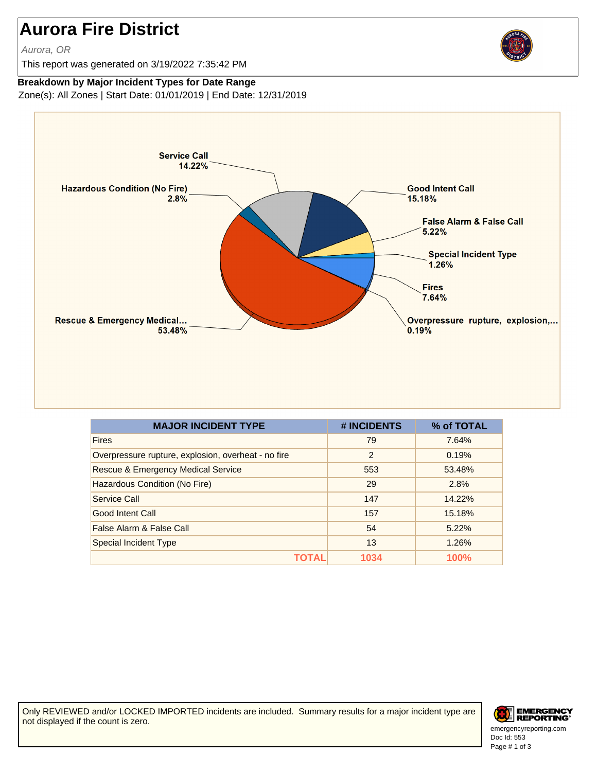## **Aurora Fire District**

Aurora, OR

This report was generated on 3/19/2022 7:35:42 PM



## **Breakdown by Major Incident Types for Date Range**

Zone(s): All Zones | Start Date: 01/01/2019 | End Date: 12/31/2019



| <b>MAJOR INCIDENT TYPE</b>                          | # INCIDENTS | % of TOTAL  |
|-----------------------------------------------------|-------------|-------------|
| <b>Fires</b>                                        | 79          | 7.64%       |
| Overpressure rupture, explosion, overheat - no fire | 2           | 0.19%       |
| <b>Rescue &amp; Emergency Medical Service</b>       | 553         | 53.48%      |
| Hazardous Condition (No Fire)                       | 29          | 2.8%        |
| Service Call                                        | 147         | 14.22%      |
| <b>Good Intent Call</b>                             | 157         | 15.18%      |
| False Alarm & False Call                            | 54          | 5.22%       |
| Special Incident Type                               | 13          | 1.26%       |
| TOTAL                                               | 1034        | <b>100%</b> |

Only REVIEWED and/or LOCKED IMPORTED incidents are included. Summary results for a major incident type are not displayed if the count is zero.



Doc Id: 553 emergencyreporting.com Page # 1 of 3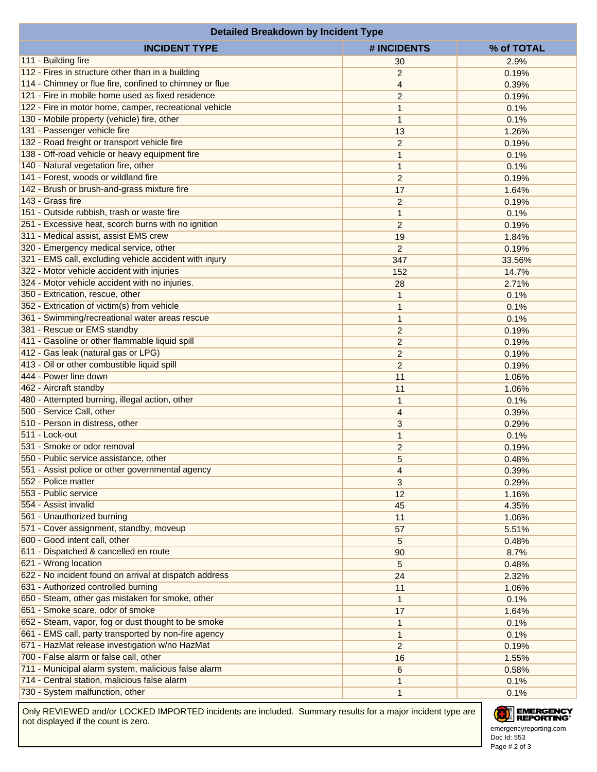| <b>Detailed Breakdown by Incident Type</b>              |                                  |                |  |  |
|---------------------------------------------------------|----------------------------------|----------------|--|--|
| <b>INCIDENT TYPE</b>                                    | # INCIDENTS                      | % of TOTAL     |  |  |
| 111 - Building fire                                     | 30                               | 2.9%           |  |  |
| 112 - Fires in structure other than in a building       | $\overline{c}$                   | 0.19%          |  |  |
| 114 - Chimney or flue fire, confined to chimney or flue | 4                                | 0.39%          |  |  |
| 121 - Fire in mobile home used as fixed residence       | 2                                | 0.19%          |  |  |
| 122 - Fire in motor home, camper, recreational vehicle  | 1                                | 0.1%           |  |  |
| 130 - Mobile property (vehicle) fire, other             | $\mathbf{1}$                     | 0.1%           |  |  |
| 131 - Passenger vehicle fire                            | 13                               | 1.26%          |  |  |
| 132 - Road freight or transport vehicle fire            | $\overline{c}$                   | 0.19%          |  |  |
| 138 - Off-road vehicle or heavy equipment fire          | $\mathbf{1}$                     | 0.1%           |  |  |
| 140 - Natural vegetation fire, other                    | $\mathbf{1}$                     | 0.1%           |  |  |
| 141 - Forest, woods or wildland fire                    | $\overline{c}$                   | 0.19%          |  |  |
| 142 - Brush or brush-and-grass mixture fire             | 17                               | 1.64%          |  |  |
| 143 - Grass fire                                        | $\overline{2}$                   | 0.19%          |  |  |
| 151 - Outside rubbish, trash or waste fire              | $\mathbf{1}$                     | 0.1%           |  |  |
| 251 - Excessive heat, scorch burns with no ignition     | 2                                | 0.19%          |  |  |
| 311 - Medical assist, assist EMS crew                   | 19                               | 1.84%          |  |  |
| 320 - Emergency medical service, other                  | $\overline{c}$                   | 0.19%          |  |  |
| 321 - EMS call, excluding vehicle accident with injury  | 347                              | 33.56%         |  |  |
| 322 - Motor vehicle accident with injuries              | 152                              | 14.7%          |  |  |
| 324 - Motor vehicle accident with no injuries.          | 28                               | 2.71%          |  |  |
| 350 - Extrication, rescue, other                        | $\mathbf{1}$                     | 0.1%           |  |  |
| 352 - Extrication of victim(s) from vehicle             | $\mathbf{1}$                     | 0.1%           |  |  |
| 361 - Swimming/recreational water areas rescue          | $\mathbf{1}$                     | 0.1%           |  |  |
| 381 - Rescue or EMS standby                             | $\overline{2}$                   | 0.19%          |  |  |
| 411 - Gasoline or other flammable liquid spill          | $\overline{2}$                   | 0.19%          |  |  |
| 412 - Gas leak (natural gas or LPG)                     |                                  |                |  |  |
| 413 - Oil or other combustible liquid spill             | $\overline{c}$<br>$\overline{2}$ | 0.19%<br>0.19% |  |  |
| 444 - Power line down                                   | 11                               | 1.06%          |  |  |
| 462 - Aircraft standby                                  | 11                               |                |  |  |
| 480 - Attempted burning, illegal action, other          | $\mathbf{1}$                     | 1.06%<br>0.1%  |  |  |
| 500 - Service Call, other                               | $\overline{4}$                   | 0.39%          |  |  |
| 510 - Person in distress, other                         |                                  |                |  |  |
| 511 - Lock-out                                          | 3<br>$\mathbf{1}$                | 0.29%<br>0.1%  |  |  |
| 531 - Smoke or odor removal                             | $\overline{c}$                   | 0.19%          |  |  |
| 550 - Public service assistance, other                  |                                  |                |  |  |
| 551 - Assist police or other governmental agency        | 5                                | 0.48%<br>0.39% |  |  |
| 552 - Police matter                                     | 4<br>3                           |                |  |  |
| 553 - Public service                                    |                                  | 0.29%          |  |  |
| 554 - Assist invalid                                    | 12<br>45                         | 1.16%<br>4.35% |  |  |
| 561 - Unauthorized burning                              | 11                               | 1.06%          |  |  |
| 571 - Cover assignment, standby, moveup                 |                                  |                |  |  |
| 600 - Good intent call, other                           | 57                               | 5.51%          |  |  |
| 611 - Dispatched & cancelled en route                   | 5                                | 0.48%          |  |  |
| 621 - Wrong location                                    | 90                               | 8.7%           |  |  |
| 622 - No incident found on arrival at dispatch address  | 5                                | 0.48%          |  |  |
|                                                         | 24                               | 2.32%          |  |  |
| 631 - Authorized controlled burning                     | 11                               | 1.06%          |  |  |
| 650 - Steam, other gas mistaken for smoke, other        | $\mathbf{1}$                     | 0.1%           |  |  |
| 651 - Smoke scare, odor of smoke                        | 17                               | 1.64%          |  |  |
| 652 - Steam, vapor, fog or dust thought to be smoke     | $\mathbf{1}$                     | 0.1%           |  |  |
| 661 - EMS call, party transported by non-fire agency    | $\mathbf{1}$                     | 0.1%           |  |  |
| 671 - HazMat release investigation w/no HazMat          | $\overline{2}$                   | 0.19%          |  |  |
| 700 - False alarm or false call, other                  | 16                               | 1.55%          |  |  |
| 711 - Municipal alarm system, malicious false alarm     | 6                                | 0.58%          |  |  |
| 714 - Central station, malicious false alarm            | $\mathbf{1}$                     | 0.1%           |  |  |
| 730 - System malfunction, other                         | $\mathbf{1}$                     | 0.1%           |  |  |

Only REVIEWED and/or LOCKED IMPORTED incidents are included. Summary results for a major incident type are not displayed if the count is zero.

## EMERGENCY

Doc Id: 553 emergencyreporting.com Page # 2 of 3